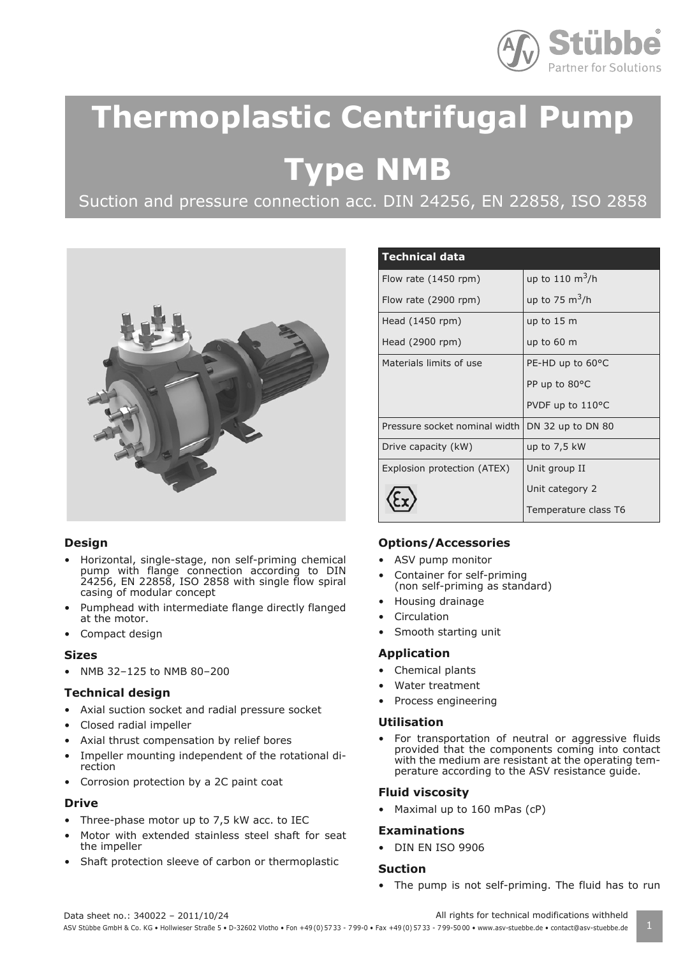

# **Thermoplastic Centrifugal Pump**

 **Type NMB**

Suction and pressure connection acc. DIN 24256, EN 22858, ISO 2858



# **Design**

- Horizontal, single-stage, non self-priming chemical pump with flange connection according to DIN 24256, EN 22858, ISO 2858 with single flow spiral casing of modular concept
- Pumphead with intermediate flange directly flanged at the motor.
- Compact design

# **Sizes**

• NMB 32–125 to NMB 80–200

# **Technical design**

- Axial suction socket and radial pressure socket
- Closed radial impeller
- Axial thrust compensation by relief bores
- Impeller mounting independent of the rotational direction
- Corrosion protection by a 2C paint coat

# **Drive**

- Three-phase motor up to 7,5 kW acc. to IEC
- Motor with extended stainless steel shaft for seat the impeller
- Shaft protection sleeve of carbon or thermoplastic

| <b>Technical data</b>           |                       |
|---------------------------------|-----------------------|
| Flow rate $(1450$ rpm)          | up to 110 $\rm m^3/h$ |
| Flow rate (2900 rpm)            | up to 75 $m^3/h$      |
| Head (1450 rpm)                 | up to 15 m            |
| Head (2900 rpm)                 | up to 60 m            |
| Materials limits of use         | PE-HD up to 60°C      |
|                                 | PP up to 80°C         |
|                                 | PVDF up to 110°C      |
| Pressure socket nominal width I | DN 32 up to DN 80     |
| Drive capacity (kW)             | up to $7,5$ kW        |
| Explosion protection (ATEX)     | Unit group II         |
|                                 | Unit category 2       |
|                                 | Temperature class T6  |

# **Options/Accessories**

- ASV pump monitor
- Container for self-priming (non self-priming as standard)
- Housing drainage
- **Circulation**
- Smooth starting unit

# **Application**

- Chemical plants
- Water treatment
- Process engineering

# **Utilisation**

For transportation of neutral or aggressive fluids provided that the components coming into contact with the medium are resistant at the operating temperature according to the ASV resistance guide.

# **Fluid viscosity**

• Maximal up to 160 mPas (cP)

# **Examinations**

• DIN EN ISO 9906

# **Suction**

• The pump is not self-priming. The fluid has to run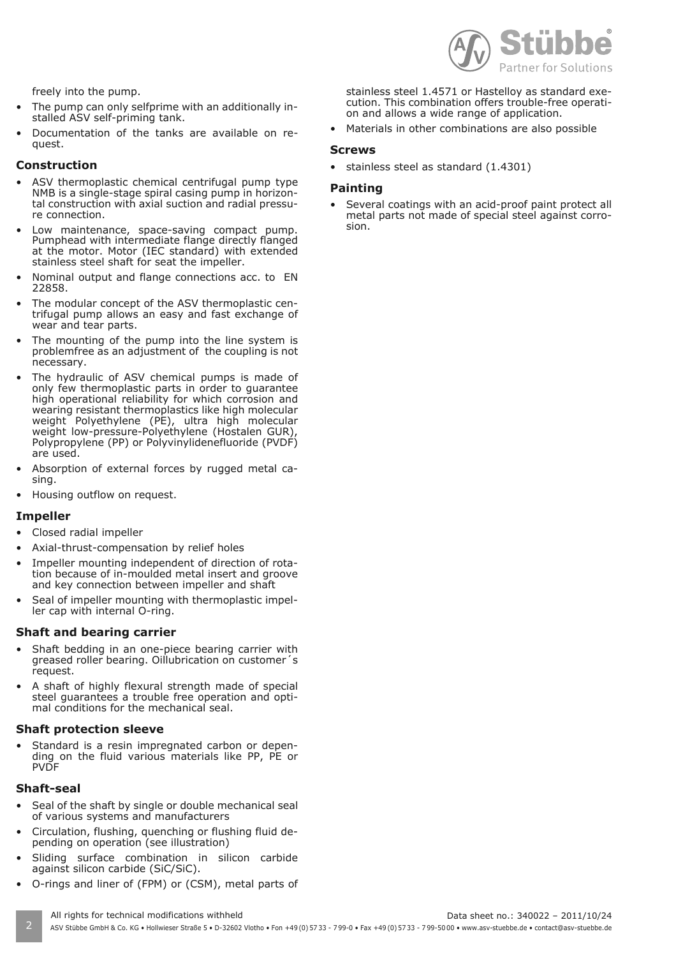

freely into the pump.

- The pump can only selfprime with an additionally installed ASV self-priming tank.
- Documentation of the tanks are available on request.

#### **Construction**

- ASV thermoplastic chemical centrifugal pump type NMB is a single-stage spiral casing pump in horizontal construction with axial suction and radial pressure connection.
- Low maintenance, space-saving compact pump. Pumphead with intermediate flange directly flanged at the motor. Motor (IEC standard) with extended stainless steel shaft for seat the impeller.
- Nominal output and flange connections acc. to EN 22858.
- The modular concept of the ASV thermoplastic centrifugal pump allows an easy and fast exchange of wear and tear parts.
- The mounting of the pump into the line system is problemfree as an adjustment of the coupling is not necessary.
- The hydraulic of ASV chemical pumps is made of only few thermoplastic parts in order to guarantee high operational reliability for which corrosion and wearing resistant thermoplastics like high molecular weight Polyethylene (PE), ultra high molecular weight low-pressure-Polyethylene (Hostalen GUR) Polypropylene (PP) or Polyvinylidenefluoride (PVDF) are used.
- Absorption of external forces by rugged metal casing.
- Housing outflow on request.

#### **Impeller**

- Closed radial impeller
- Axial-thrust-compensation by relief holes
- Impeller mounting independent of direction of rotation because of in-moulded metal insert and groove and key connection between impeller and shaft
- Seal of impeller mounting with thermoplastic impeller cap with internal O-ring.

#### **Shaft and bearing carrier**

- Shaft bedding in an one-piece bearing carrier with greased roller bearing. Oillubrication on customer´s request.
- A shaft of highly flexural strength made of special steel guarantees a trouble free operation and optimal conditions for the mechanical seal.

# **Shaft protection sleeve**

Standard is a resin impregnated carbon or depending on the fluid various materials like PP, PE or **PVDF** 

# **Shaft-seal**

- Seal of the shaft by single or double mechanical seal of various systems and manufacturers
- Circulation, flushing, quenching or flushing fluid depending on operation (see illustration)
- Sliding surface combination in silicon carbide against silicon carbide (SiC/SiC).
- O-rings and liner of (FPM) or (CSM), metal parts of

stainless steel 1.4571 or Hastelloy as standard execution. This combination offers trouble-free operation and allows a wide range of application.

• Materials in other combinations are also possible

#### **Screws**

• stainless steel as standard (1.4301)

#### **Painting**

Several coatings with an acid-proof paint protect all metal parts not made of special steel against corrosion.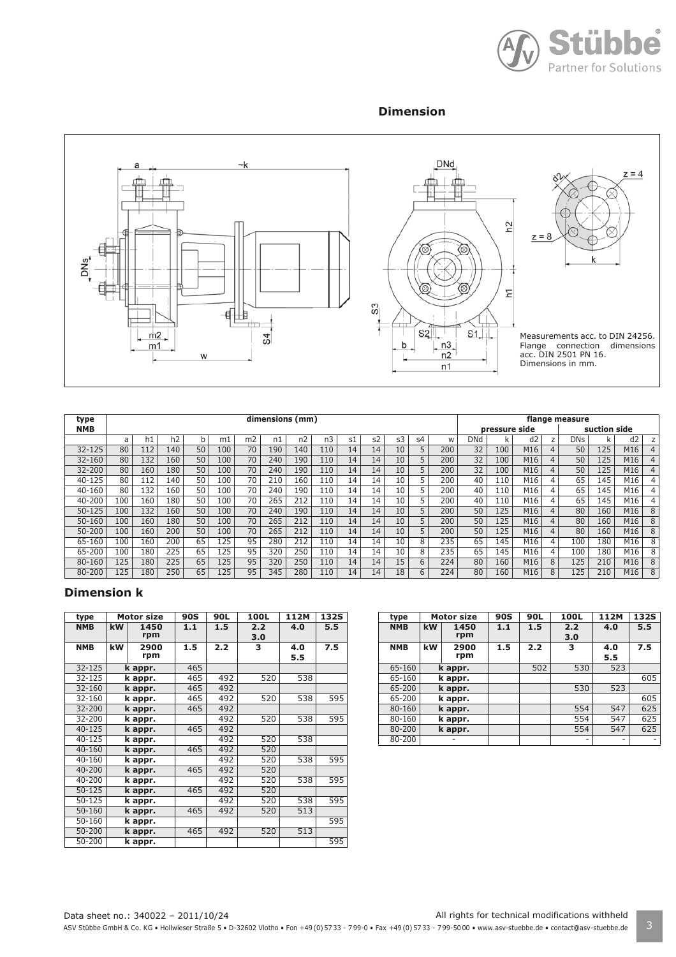

# **Dimension**



| type       | dimensions (mm) |     |     |    |     |                |     |                |     |               |    | flange measure |    |              |     |     |                |                |            |     |     |   |
|------------|-----------------|-----|-----|----|-----|----------------|-----|----------------|-----|---------------|----|----------------|----|--------------|-----|-----|----------------|----------------|------------|-----|-----|---|
| <b>NMB</b> |                 |     |     |    |     |                |     |                |     | pressure side |    |                |    | suction side |     |     |                |                |            |     |     |   |
|            | a               | h1  | h2  | b  | m1  | m <sub>2</sub> | n1  | n <sub>2</sub> | n3  | s1            | s2 | s3             | s4 | W            | DNd | k   | d <sub>2</sub> | Z              | <b>DNs</b> | k   | d2  | z |
| $32 - 125$ | 80              | 112 | 140 | 50 | 100 | 70             | 190 | 140            | 110 | 14            | 14 | 10             | 5  | 200          | 32  | 100 | M16            | $\overline{4}$ | 50         | 125 | M16 |   |
| $32 - 160$ | 80              | 132 | 160 | 50 | 100 | 70             | 240 | 190            | 110 | 14            | 14 | 10             | 5  | 200          | 32  | 100 | M16            | $\overline{4}$ | 50         | 125 | M16 |   |
| $32 - 200$ | 80              | 160 | 180 | 50 | 100 | 70             | 240 | 190            | 110 | 14            | 14 | 10             | 5  | 200          | 32  | 100 | M16            | $\overline{4}$ | 50         | 125 | M16 |   |
| $40 - 125$ | 80              | 112 | 140 | 50 | 100 | 70             | 210 | 160            | 110 | 14            | 14 | 10             | 5  | 200          | 40  | 110 | M16            | 4              | 65         | 145 | M16 | 4 |
| $40 - 160$ | 80              | 132 | 160 | 50 | 100 | 70             | 240 | 190            | 110 | 14            | 14 | 10             | 5  | 200          | 40  | 110 | M16            | 4              | 65         | 145 | M16 | 4 |
| 40-200     | 100             | 160 | 180 | 50 | 100 | 70             | 265 | 212            | 110 | 14            | 14 | 10             | 5  | 200          | 40  | 110 | M16            | 4              | 65         | 145 | M16 | 4 |
| $50 - 125$ | 100             | 132 | 160 | 50 | 100 | 70             | 240 | 190            | 110 | 14            | 14 | 10             | 5  | 200          | 50  | 125 | M16            | $\overline{4}$ | 80         | 160 | M16 | 8 |
| $50 - 160$ | 100             | 160 | 180 | 50 | 100 | 70             | 265 | 212            | 110 | 14            | 14 | 10             | 5  | 200          | 50  | 125 | M16            | $\overline{4}$ | 80         | 160 | M16 | 8 |
| $50 - 200$ | 100             | 160 | 200 | 50 | 100 | 70             | 265 | 212            | 110 | 14            | 14 | 10             | 5  | 200          | 50  | 125 | M16            | 4              | 80         | 160 | M16 | 8 |
| 65-160     | 100             | 160 | 200 | 65 | 125 | 95             | 280 | 212            | 110 | 14            | 14 | 10             | 8  | 235          | 65  | 145 | M16            | 4              | 100        | 180 | M16 | 8 |
| 65-200     | 100             | 180 | 225 | 65 | 125 | 95             | 320 | 250            | 110 | 14            | 14 | 10             | 8  | 235          | 65  | 145 | M16            | 4              | 100        | 180 | M16 | 8 |
| 80-160     | 125             | 180 | 225 | 65 | 125 | 95             | 320 | 250            | 110 | 14            | 14 | 15             | 6  | 224          | 80  | 160 | M16            | 8              | 125        | 210 | M16 | 8 |
| 80-200     | 125             | 180 | 250 | 65 | 125 | 95             | 345 | 280            | 110 | 14            | 14 | 18             | 6  | 224          | 80  | 160 | M16            | 8              | 125        | 210 | M16 | 8 |

# **Dimension k**

| type       | <b>Motor size</b> |         | 90S | 90L | 100L | 112M | 132S             |
|------------|-------------------|---------|-----|-----|------|------|------------------|
| <b>NMB</b> | kW                | 1450    | 1.1 | 1.5 | 2.2  | 4.0  | 5.5              |
|            |                   | rpm     |     |     | 3.0  |      |                  |
| <b>NMB</b> | kW                | 2900    | 1.5 | 2.2 | 3    | 4.0  | $\overline{7}.5$ |
|            |                   | rpm     |     |     |      | 5.5  |                  |
| 32-125     |                   | k appr. | 465 |     |      |      |                  |
| 32-125     |                   | k appr. | 465 | 492 | 520  | 538  |                  |
| 32-160     |                   | k appr. | 465 | 492 |      |      |                  |
| 32-160     |                   | k appr. | 465 | 492 | 520  | 538  | 595              |
| 32-200     |                   | k appr. | 465 | 492 |      |      |                  |
| 32-200     |                   | k appr. |     | 492 | 520  | 538  | 595              |
| $40 - 125$ |                   | k appr. | 465 | 492 |      |      |                  |
| 40-125     |                   | k appr. |     | 492 | 520  | 538  |                  |
| 40-160     |                   | k appr. | 465 | 492 | 520  |      |                  |
| $40 - 160$ |                   | k appr. |     | 492 | 520  | 538  | 595              |
| 40-200     |                   | k appr. | 465 | 492 | 520  |      |                  |
| 40-200     |                   | k appr. |     | 492 | 520  | 538  | 595              |
| $50 - 125$ |                   | k appr. | 465 | 492 | 520  |      |                  |
| 50-125     |                   | k appr. |     | 492 | 520  | 538  | 595              |
| 50-160     |                   | k appr. | 465 | 492 | 520  | 513  |                  |
| 50-160     |                   | k appr. |     |     |      |      | 595              |
| 50-200     |                   | k appr. | 465 | 492 | 520  | 513  |                  |
| 50-200     |                   | k appr. |     |     |      |      | 595              |

| type       | <b>Motor size</b> |             | <b>90S</b> | 90L | 100L       | 112M | <b>132S</b> |
|------------|-------------------|-------------|------------|-----|------------|------|-------------|
| <b>NMB</b> | kW                | 1450<br>rpm | 1.1        | 1.5 | 2.2<br>3.0 | 4.0  | 5.5         |
| <b>NMB</b> | kW                | 2900<br>rpm | 1.5        | 2.2 | 3          | 4.0  | 7.5         |
|            |                   |             |            |     |            | 5.5  |             |
| 65-160     |                   | k appr.     |            | 502 | 530        | 523  |             |
| 65-160     |                   | k appr.     |            |     |            |      | 605         |
| 65-200     |                   | k appr.     |            |     | 530        | 523  |             |
| 65-200     |                   | k appr.     |            |     |            |      | 605         |
| 80-160     |                   | k appr.     |            |     | 554        | 547  | 625         |
| 80-160     |                   | k appr.     |            |     | 554        | 547  | 625         |
| 80-200     |                   | k appr.     |            |     | 554        | 547  | 625         |
| 80-200     |                   |             |            |     | -          |      |             |

Data sheet no.: 340022 – 2011/10/24 All rights for technical modifications withheld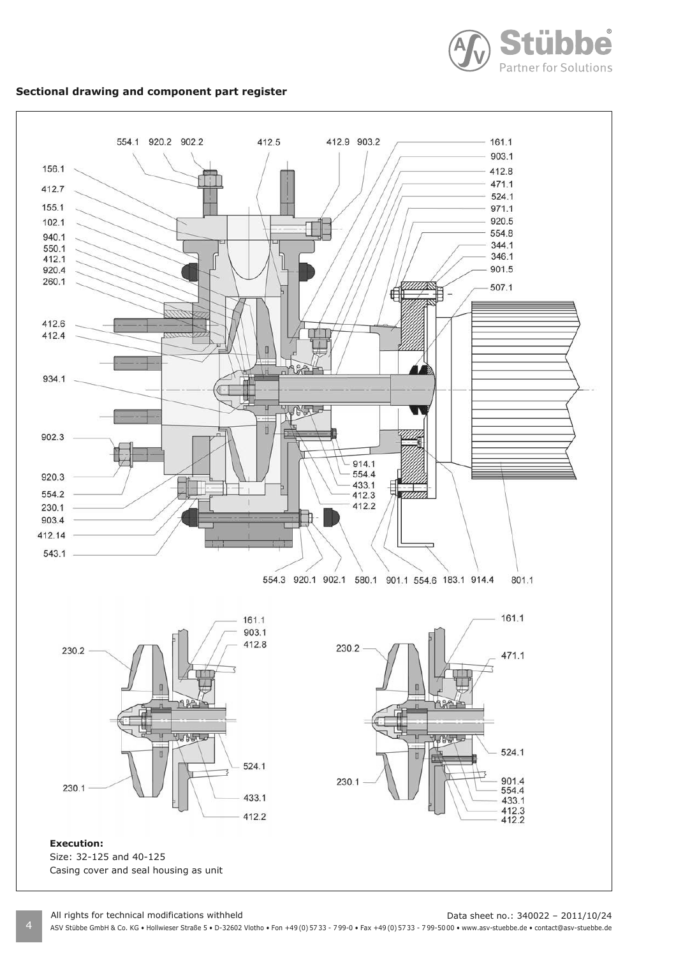

### **Sectional drawing and component part register**



All rights for technical modifications withheld Data sheet no.: 340022 - 2011/10/24

4 ASV Stübbe GmbH & Co. KG • Hollwieser Straße 5 • D-32602 Vlotho • Fon +49 (0) 57 33 - 7 99-0 • Fax +49 (0) 57 33 - 7 99-50 00 • www.asv-stuebbe.de • contact@asv-stuebbe.de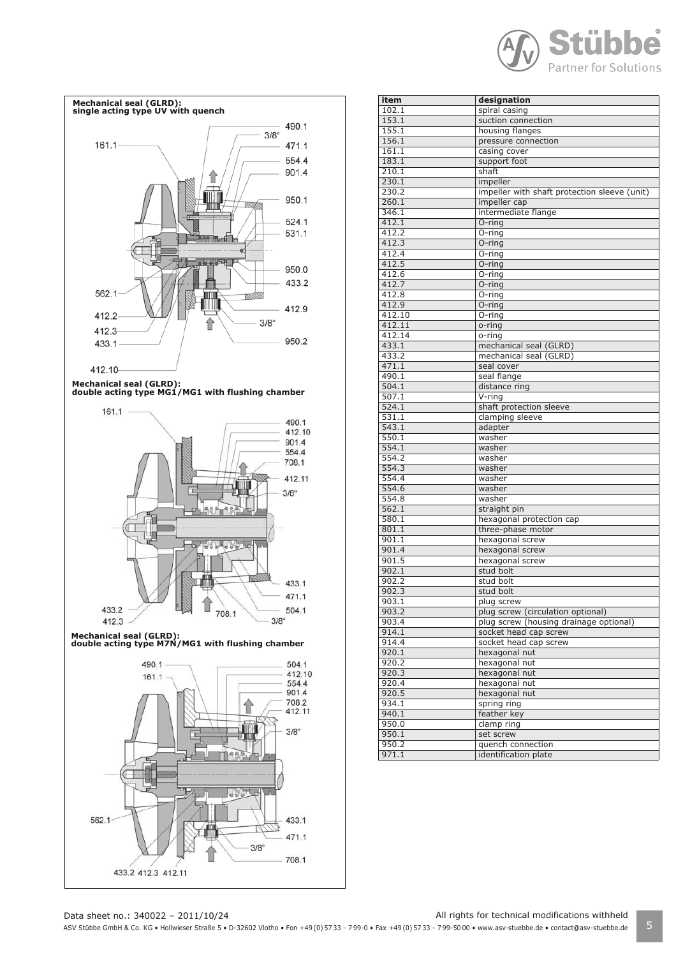



**Mechanical seal (GLRD): double acting type MG1/MG1 with flushing chamber**



**Mechanical seal (GLRD): double acting type M7N/MG1 with flushing chamber**



| item   | designation                                  |
|--------|----------------------------------------------|
| 102.1  | spiral casing                                |
| 153.1  | suction connection                           |
| 155.1  | housing flanges                              |
| 156.1  | pressure connection                          |
| 161.1  | casing cover                                 |
| 183.1  | support foot                                 |
| 210.1  | shaft                                        |
| 230.1  |                                              |
|        | impeller                                     |
| 230.2  | impeller with shaft protection sleeve (unit) |
| 260.1  | impeller cap                                 |
| 346.1  | intermediate flange                          |
| 412.1  | O-ring                                       |
| 412.2  | O-ring                                       |
| 412.3  | O-ring                                       |
| 412.4  | $\overline{O}$ -ring                         |
| 412.5  | O-ring                                       |
| 412.6  | O-ring                                       |
| 412.7  | O-ring                                       |
| 412.8  | O-ring                                       |
| 412.9  | O-ring                                       |
| 412.10 | O-ring                                       |
| 412.11 | o-ring                                       |
| 412.14 | o-ring                                       |
| 433.1  | mechanical seal (GLRD)                       |
| 433.2  | mechanical seal (GLRD)                       |
| 471.1  | seal cover                                   |
| 490.1  | seal flange                                  |
| 504.1  | distance ring                                |
| 507.1  | $V$ -ring                                    |
| 524.1  | shaft protection sleeve                      |
| 531.1  | clamping sleeve                              |
| 543.1  | adapter                                      |
| 550.1  | washer                                       |
| 554.1  | washer                                       |
| 554.2  | washer                                       |
| 554.3  | washer                                       |
| 554.4  | washer                                       |
| 554.6  | washer                                       |
| 554.8  | washer                                       |
| 562.1  | straight pin                                 |
| 580.1  | hexagonal protection cap                     |
| 801.1  | three-phase motor                            |
|        | hexagonal screw                              |
| 901.1  |                                              |
| 901.4  | hexagonal screw                              |
| 901.5  | hexagonal screw                              |
| 902.1  | stud bolt                                    |
| 902.2  | stud bolt                                    |
| 902.3  | stud bolt                                    |
| 903.1  | plug screw                                   |
| 903.2  | plug screw (circulation optional)            |
| 903.4  | plug screw (housing drainage optional)       |
| 914.1  | socket head cap screw                        |
| 914.4  | socket head cap screw                        |
| 920.1  | hexagonal nut                                |
| 920.2  | hexagonal nut                                |
| 920.3  | hexagonal nut                                |
| 920.4  | hexagonal nut                                |
| 920.5  | hexagonal nut                                |
| 934.1  | spring ring                                  |
| 940.1  | feather key                                  |
| 950.0  | clamp ring                                   |
| 950.1  | set screw                                    |
| 950.2  | quench connection                            |
| 971.1  | identification plate                         |
|        |                                              |

Data sheet no.: 340022 – 2011/10/24 All rights for technical modifications withheld

ASV Stübbe GmbH & Co. KG • Hollwieser Straße 5 • D-32602 Vlotho • Fon +49(0) 57 33 - 799-0 • Fax +49(0) 57 33 - 799-5000 • www.asv-stuebbe.de • contact@asv-stuebbe.de 5